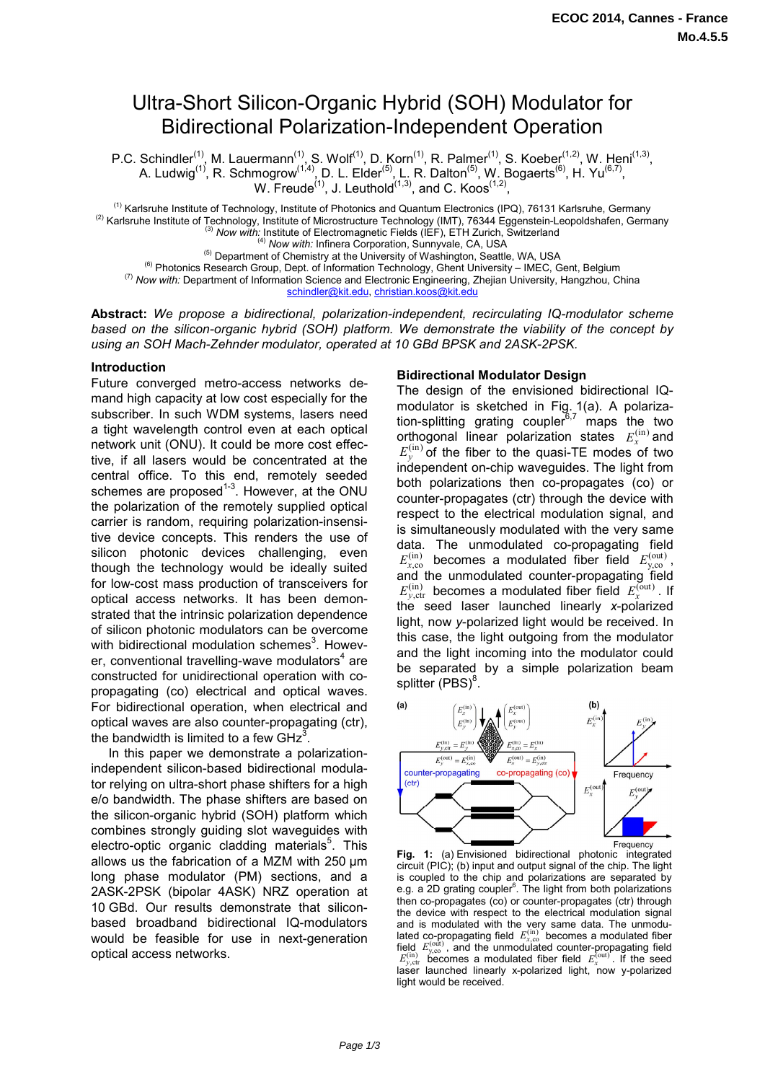# Ultra-Short Silicon-Organic Hybrid (SOH) Modulator for Bidirectional Polarization-Independent Operation

P.C. Schindler<sup>(1)</sup>, M. Lauermann<sup>(1)</sup>, S. Wolf<sup>(1)</sup>, D. Korn<sup>(1)</sup>, R. Palmer<sup>(1)</sup>, S. Koeber<sup>(1,2)</sup>, W. Heni<sup>(1,3)</sup>, A. Ludwig<sup>(1)</sup>, R. Schmogrow<sup>(1,4)</sup>, D. L. Elder<sup>(5)</sup>, L. R. Dalton<sup>(5)</sup>, W. Bogaerts<sup>(6)</sup>, H. Yu<sup>(6,7)</sup>, W. Freude<sup>(1)</sup>, J. Leuthold<sup>(1,3)</sup>, and C. Koos<sup>(1,2)</sup>,

<sup>(1)</sup> Karlsruhe Institute of Technology, Institute of Photonics and Quantum Electronics (IPQ), 76131 Karlsruhe, Germany<br><sup>(2)</sup> Karlsruhe Institute of Technology, Institute of Microstructure Technology (IMT), 76344 Eggenste

<sup>(5)</sup> Department of Chemistry at the University of Washington, Seattle, WA, USA<br><sup>(6)</sup> Photonics Research Group, Dept. of Information Technology, Ghent University – IMEC, Gent, Belgium<br>*(7)* Now with: Department of Informa

schindler@kit.edu, christian.koos@kit.edu

**Abstract:** *We propose a bidirectional, polarization-independent, recirculating IQ-modulator scheme based on the silicon-organic hybrid (SOH) platform. We demonstrate the viability of the concept by using an SOH Mach-Zehnder modulator, operated at 10 GBd BPSK and 2ASK-2PSK.* 

#### **Introduction**

Future converged metro-access networks demand high capacity at low cost especially for the subscriber. In such WDM systems, lasers need a tight wavelength control even at each optical network unit (ONU). It could be more cost effective, if all lasers would be concentrated at the central office. To this end, remotely seeded schemes are proposed<sup>1-3</sup>. However, at the ONU the polarization of the remotely supplied optical carrier is random, requiring polarization-insensitive device concepts. This renders the use of silicon photonic devices challenging, even though the technology would be ideally suited for low-cost mass production of transceivers for optical access networks. It has been demonstrated that the intrinsic polarization dependence of silicon photonic modulators can be overcome with bidirectional modulation schemes $3$ . However, conventional travelling-wave modulators $4$  are constructed for unidirectional operation with copropagating (co) electrical and optical waves. For bidirectional operation, when electrical and optical waves are also counter-propagating (ctr), the bandwidth is limited to a few  $GHz<sup>3</sup>$ .

 In this paper we demonstrate a polarizationindependent silicon-based bidirectional modulator relying on ultra-short phase shifters for a high e/o bandwidth. The phase shifters are based on the silicon-organic hybrid (SOH) platform which combines strongly guiding slot waveguides with electro-optic organic cladding materials<sup>5</sup>. This allows us the fabrication of a MZM with 250 µm long phase modulator (PM) sections, and a 2ASK-2PSK (bipolar 4ASK) NRZ operation at 10 GBd. Our results demonstrate that siliconbased broadband bidirectional IQ-modulators would be feasible for use in next-generation optical access networks.

#### **Bidirectional Modulator Design**

The design of the envisioned bidirectional IQmodulator is sketched in Fig. 1(a). A polarization-splitting grating coupler  $6,7$  maps the two orthogonal linear polarization states  $E<sub>x</sub><sup>(in)</sup>$  and  $E_y^{(in)}$  of the fiber to the quasi-TE modes of two independent on-chip waveguides. The light from both polarizations then co-propagates (co) or counter-propagates (ctr) through the device with respect to the electrical modulation signal, and is simultaneously modulated with the very same data. The unmodulated co-propagating field  $E_{x,\text{co}}^{(\text{in})}$  becomes a modulated fiber field  $E_{y,\text{co}}^{(\text{out})}$ , and the unmodulated counter-propagating field  $E_{v, \text{ctr}}^{(\text{in})}$  becomes a modulated fiber field  $E_{x}^{(\text{out})}$ . If the seed laser launched linearly *x*-polarized light, now *y*-polarized light would be received. In this case, the light outgoing from the modulator and the light incoming into the modulator could be separated by a simple polarization beam splitter  $(PBS)^8$ .



**Fig. 1:** (a) Envisioned bidirectional photonic integrated circuit (PIC); (b) input and output signal of the chip. The light is coupled to the chip and polarizations are separated by e.g. a 2D grating coupler $6$ . The light from both polarizations then co-propagates (co) or counter-propagates (ctr) through the device with respect to the electrical modulation signal and is modulated with the very same data. The unmodu-<br>lated co-propagating field  $E_{x,\infty}^{(in)}$  becomes a modulated fiber field  $E_{y,\text{cc}}^{(\text{in})}$ , and the unmodulated counter-propagating field  $E_{y,\text{ctr}}^{(\text{in})}$  becomes a modulated fiber field  $E_{x}^{(\text{out})}$ . If the seed laser launched linearly x-polarized light, now y-polarized light would be received.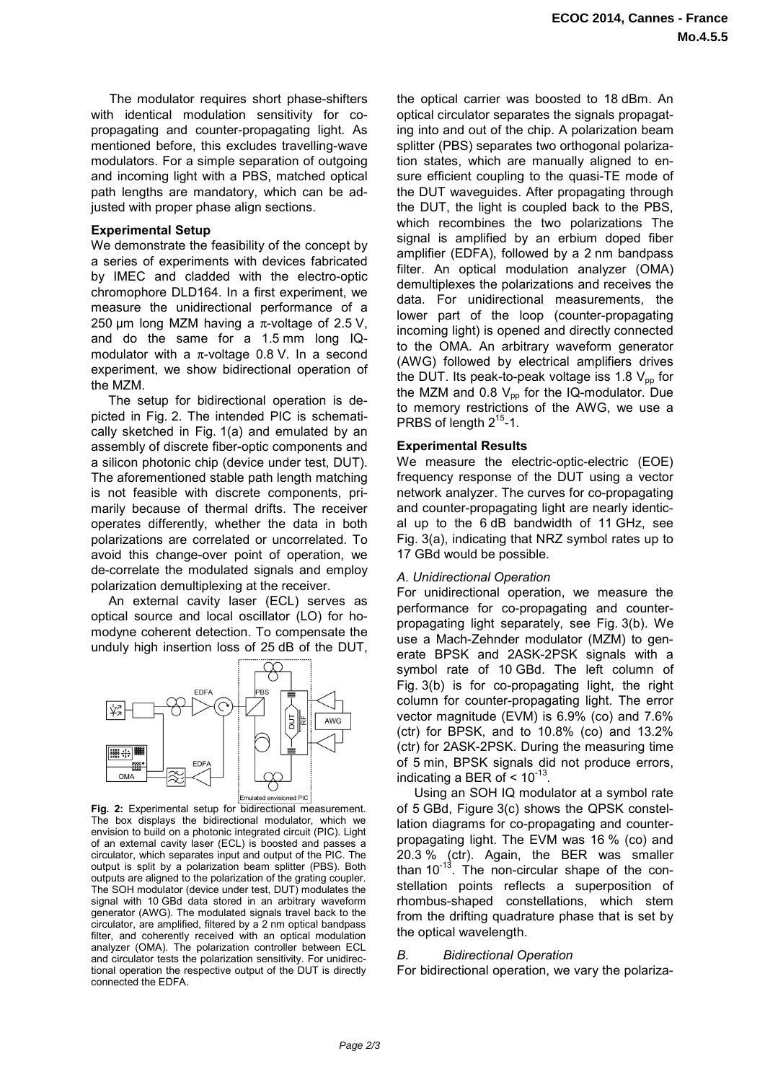The modulator requires short phase-shifters with identical modulation sensitivity for copropagating and counter-propagating light. As mentioned before, this excludes travelling-wave modulators. For a simple separation of outgoing and incoming light with a PBS, matched optical path lengths are mandatory, which can be adjusted with proper phase align sections.

## **Experimental Setup**

We demonstrate the feasibility of the concept by a series of experiments with devices fabricated by IMEC and cladded with the electro-optic chromophore DLD164. In a first experiment, we measure the unidirectional performance of a 250 µm long MZM having a  $\pi$ -voltage of 2.5 V, and do the same for a 1.5 mm long IQmodulator with a  $\pi$ -voltage 0.8 V. In a second experiment, we show bidirectional operation of the MZM.

 The setup for bidirectional operation is depicted in Fig. 2. The intended PIC is schematically sketched in Fig. 1(a) and emulated by an assembly of discrete fiber-optic components and a silicon photonic chip (device under test, DUT). The aforementioned stable path length matching is not feasible with discrete components, primarily because of thermal drifts. The receiver operates differently, whether the data in both polarizations are correlated or uncorrelated. To avoid this change-over point of operation, we de-correlate the modulated signals and employ polarization demultiplexing at the receiver.

 An external cavity laser (ECL) serves as optical source and local oscillator (LO) for homodyne coherent detection. To compensate the unduly high insertion loss of 25 dB of the DUT,



**Fig. 2:** Experimental setup for bidirectional measurement. The box displays the bidirectional modulator, which we envision to build on a photonic integrated circuit (PIC). Light of an external cavity laser (ECL) is boosted and passes a circulator, which separates input and output of the PIC. The output is split by a polarization beam splitter (PBS). Both outputs are aligned to the polarization of the grating coupler. The SOH modulator (device under test, DUT) modulates the signal with 10 GBd data stored in an arbitrary waveform generator (AWG). The modulated signals travel back to the circulator, are amplified, filtered by a 2 nm optical bandpass filter, and coherently received with an optical modulation analyzer (OMA). The polarization controller between ECL and circulator tests the polarization sensitivity. For unidirectional operation the respective output of the DUT is directly connected the EDFA.

the optical carrier was boosted to 18 dBm. An optical circulator separates the signals propagating into and out of the chip. A polarization beam splitter (PBS) separates two orthogonal polarization states, which are manually aligned to ensure efficient coupling to the quasi-TE mode of the DUT waveguides. After propagating through the DUT, the light is coupled back to the PBS, which recombines the two polarizations The signal is amplified by an erbium doped fiber amplifier (EDFA), followed by a 2 nm bandpass filter. An optical modulation analyzer (OMA) demultiplexes the polarizations and receives the data. For unidirectional measurements, the lower part of the loop (counter-propagating incoming light) is opened and directly connected to the OMA. An arbitrary waveform generator (AWG) followed by electrical amplifiers drives the DUT. Its peak-to-peak voltage iss 1.8  $V_{\text{op}}$  for the MZM and 0.8  $V_{pp}$  for the IQ-modulator. Due to memory restrictions of the AWG, we use a PRBS of length  $2^{15}$ -1.

# **Experimental Results**

We measure the electric-optic-electric (EOE) frequency response of the DUT using a vector network analyzer. The curves for co-propagating and counter-propagating light are nearly identical up to the 6 dB bandwidth of 11 GHz, see Fig. 3(a), indicating that NRZ symbol rates up to 17 GBd would be possible.

### *A. Unidirectional Operation*

For unidirectional operation, we measure the performance for co-propagating and counterpropagating light separately, see Fig. 3(b). We use a Mach-Zehnder modulator (MZM) to generate BPSK and 2ASK-2PSK signals with a symbol rate of 10 GBd. The left column of Fig. 3(b) is for co-propagating light, the right column for counter-propagating light. The error vector magnitude (EVM) is 6.9% (co) and 7.6% (ctr) for BPSK, and to 10.8% (co) and 13.2% (ctr) for 2ASK-2PSK. During the measuring time of 5 min, BPSK signals did not produce errors, indicating a BER of  $< 10^{-13}$ .

 Using an SOH IQ modulator at a symbol rate of 5 GBd, Figure 3(c) shows the QPSK constellation diagrams for co-propagating and counterpropagating light. The EVM was 16 % (co) and 20.3 % (ctr). Again, the BER was smaller than  $10^{-13}$ . The non-circular shape of the constellation points reflects a superposition of rhombus-shaped constellations, which stem from the drifting quadrature phase that is set by the optical wavelength.

# *B. Bidirectional Operation*

For bidirectional operation, we vary the polariza-